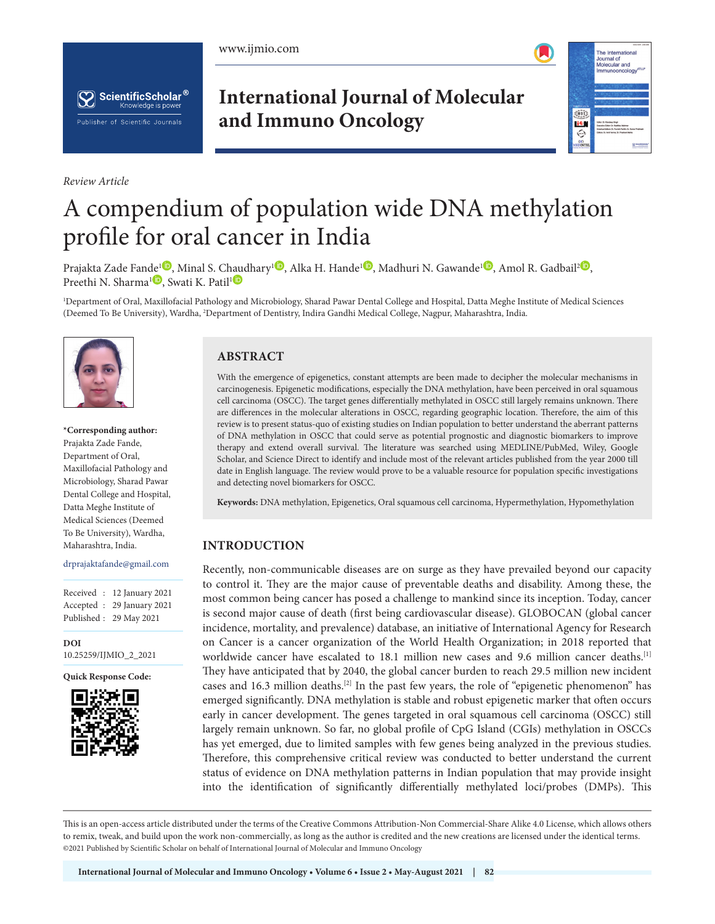





*Review Article*

**International Journal of Molecular and Immuno Oncology**



# A compendium of population wide DNA methylation profile for oral cancer in India

Prajakta Za[de](https://orcid.org/0000-0001-9942-5647
) Fande<sup>1</sup><sup>0</sup>[,](https://orcid.org/0000-0003-3432-1091) Minal S. C[haud](https://orcid.org/0000-0002-9278-5786)hary<sup>1</sup><sup>0</sup>[,](https://orcid.org/0000-0002-4230-6927
) Alka H. Hande<sup>[1](https://orcid.org/0000-0002-9692-937X
)</sup><sup>0</sup>, Madhuri N. Gawande<sup>1</sup><sup>0</sup>, Amol R. Gadbail<sup>[2](https://orcid.org/0000-0002-6546-7694
)</sup><sup>0</sup>, Preethi N. Sharma<sup>1</sup><sup>D</sup>, Swati K. Patil<sup>1</sup><sup>D</sup>

1 Department of Oral, Maxillofacial Pathology and Microbiology, Sharad Pawar Dental College and Hospital, Datta Meghe Institute of Medical Sciences (Deemed To Be University), Wardha, 2 Department of Dentistry, Indira Gandhi Medical College, Nagpur, Maharashtra, India.



**\*Corresponding author:** Prajakta Zade Fande, Department of Oral, Maxillofacial Pathology and Microbiology, Sharad Pawar Dental College and Hospital, Datta Meghe Institute of Medical Sciences (Deemed To Be University), Wardha, Maharashtra, India.

#### drprajaktafande@gmail.com

Received : 12 January 2021 Accepted : 29 January 2021 Published : 29 May 2021

**DOI** [10.25259/IJMIO\\_2\\_2021](https://dx.doi.org/10.25259/IJMIO_2_2021)

**Quick Response Code:**



# **ABSTRACT**

With the emergence of epigenetics, constant attempts are been made to decipher the molecular mechanisms in carcinogenesis. Epigenetic modifications, especially the DNA methylation, have been perceived in oral squamous cell carcinoma (OSCC). The target genes differentially methylated in OSCC still largely remains unknown. There are differences in the molecular alterations in OSCC, regarding geographic location. Therefore, the aim of this review is to present status-quo of existing studies on Indian population to better understand the aberrant patterns of DNA methylation in OSCC that could serve as potential prognostic and diagnostic biomarkers to improve therapy and extend overall survival. The literature was searched using MEDLINE/PubMed, Wiley, Google Scholar, and Science Direct to identify and include most of the relevant articles published from the year 2000 till date in English language. The review would prove to be a valuable resource for population specific investigations and detecting novel biomarkers for OSCC.

**Keywords:** DNA methylation, Epigenetics, Oral squamous cell carcinoma, Hypermethylation, Hypomethylation

#### **INTRODUCTION**

Recently, non-communicable diseases are on surge as they have prevailed beyond our capacity to control it. They are the major cause of preventable deaths and disability. Among these, the most common being cancer has posed a challenge to mankind since its inception. Today, cancer is second major cause of death (first being cardiovascular disease). GLOBOCAN (global cancer incidence, mortality, and prevalence) database, an initiative of International Agency for Research on Cancer is a cancer organization of the World Health Organization; in 2018 reported that worldwide cancer have escalated to 18.1 million new cases and 9.6 million cancer deaths.<sup>[1]</sup> They have anticipated that by 2040, the global cancer burden to reach 29.5 million new incident cases and 16.3 million deaths.[2] In the past few years, the role of "epigenetic phenomenon" has emerged significantly. DNA methylation is stable and robust epigenetic marker that often occurs early in cancer development. The genes targeted in oral squamous cell carcinoma (OSCC) still largely remain unknown. So far, no global profile of CpG Island (CGIs) methylation in OSCCs has yet emerged, due to limited samples with few genes being analyzed in the previous studies. Therefore, this comprehensive critical review was conducted to better understand the current status of evidence on DNA methylation patterns in Indian population that may provide insight into the identification of significantly differentially methylated loci/probes (DMPs). This

This is an open-access article distributed under the terms of the Creative Commons Attribution-Non Commercial-Share Alike 4.0 License, which allows others to remix, tweak, and build upon the work non-commercially, as long as the author is credited and the new creations are licensed under the identical terms. ©2021 Published by Scientific Scholar on behalf of International Journal of Molecular and Immuno Oncology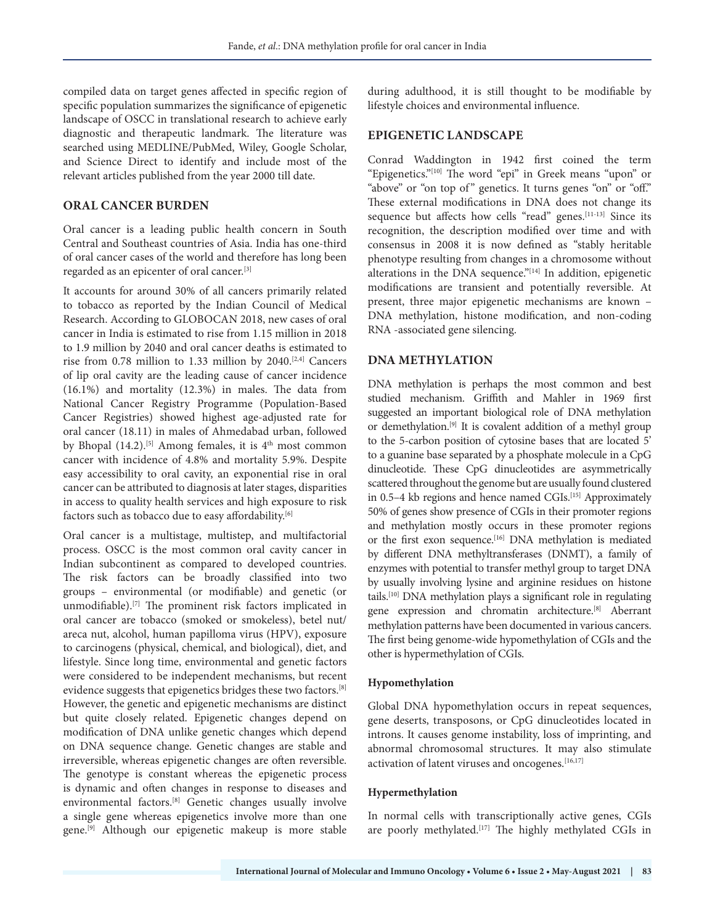compiled data on target genes affected in specific region of specific population summarizes the significance of epigenetic landscape of OSCC in translational research to achieve early diagnostic and therapeutic landmark. The literature was searched using MEDLINE/PubMed, Wiley, Google Scholar, and Science Direct to identify and include most of the relevant articles published from the year 2000 till date.

#### **ORAL CANCER BURDEN**

Oral cancer is a leading public health concern in South Central and Southeast countries of Asia. India has one-third of oral cancer cases of the world and therefore has long been regarded as an epicenter of oral cancer.[3]

It accounts for around 30% of all cancers primarily related to tobacco as reported by the Indian Council of Medical Research. According to GLOBOCAN 2018, new cases of oral cancer in India is estimated to rise from 1.15 million in 2018 to 1.9 million by 2040 and oral cancer deaths is estimated to rise from 0.78 million to 1.33 million by 2040.[2,4] Cancers of lip oral cavity are the leading cause of cancer incidence (16.1%) and mortality (12.3%) in males. The data from National Cancer Registry Programme (Population-Based Cancer Registries) showed highest age-adjusted rate for oral cancer (18.11) in males of Ahmedabad urban, followed by Bhopal (14.2).<sup>[5]</sup> Among females, it is 4<sup>th</sup> most common cancer with incidence of 4.8% and mortality 5.9%. Despite easy accessibility to oral cavity, an exponential rise in oral cancer can be attributed to diagnosis at later stages, disparities in access to quality health services and high exposure to risk factors such as tobacco due to easy affordability.<sup>[6]</sup>

Oral cancer is a multistage, multistep, and multifactorial process. OSCC is the most common oral cavity cancer in Indian subcontinent as compared to developed countries. The risk factors can be broadly classified into two groups – environmental (or modifiable) and genetic (or unmodifiable).[7] The prominent risk factors implicated in oral cancer are tobacco (smoked or smokeless), betel nut/ areca nut, alcohol, human papilloma virus (HPV), exposure to carcinogens (physical, chemical, and biological), diet, and lifestyle. Since long time, environmental and genetic factors were considered to be independent mechanisms, but recent evidence suggests that epigenetics bridges these two factors.[8] However, the genetic and epigenetic mechanisms are distinct but quite closely related. Epigenetic changes depend on modification of DNA unlike genetic changes which depend on DNA sequence change. Genetic changes are stable and irreversible, whereas epigenetic changes are often reversible. The genotype is constant whereas the epigenetic process is dynamic and often changes in response to diseases and environmental factors.[8] Genetic changes usually involve a single gene whereas epigenetics involve more than one gene.[9] Although our epigenetic makeup is more stable

during adulthood, it is still thought to be modifiable by lifestyle choices and environmental influence.

### **EPIGENETIC LANDSCAPE**

Conrad Waddington in 1942 first coined the term "Epigenetics."[10] The word "epi" in Greek means "upon" or "above" or "on top of" genetics. It turns genes "on" or "off." These external modifications in DNA does not change its sequence but affects how cells "read" genes.<sup>[11-13]</sup> Since its recognition, the description modified over time and with consensus in 2008 it is now defined as "stably heritable phenotype resulting from changes in a chromosome without alterations in the DNA sequence."[14] In addition, epigenetic modifications are transient and potentially reversible. At present, three major epigenetic mechanisms are known – DNA methylation, histone modification, and non-coding RNA -associated gene silencing.

# **DNA METHYLATION**

DNA methylation is perhaps the most common and best studied mechanism. Griffith and Mahler in 1969 first suggested an important biological role of DNA methylation or demethylation.[9] It is covalent addition of a methyl group to the 5-carbon position of cytosine bases that are located 5' to a guanine base separated by a phosphate molecule in a CpG dinucleotide. These CpG dinucleotides are asymmetrically scattered throughout the genome but are usually found clustered in 0.5–4 kb regions and hence named CGIs.<sup>[15]</sup> Approximately 50% of genes show presence of CGIs in their promoter regions and methylation mostly occurs in these promoter regions or the first exon sequence.<sup>[16]</sup> DNA methylation is mediated by different DNA methyltransferases (DNMT), a family of enzymes with potential to transfer methyl group to target DNA by usually involving lysine and arginine residues on histone tails.[10] DNA methylation plays a significant role in regulating gene expression and chromatin architecture.[8] Aberrant methylation patterns have been documented in various cancers. The first being genome-wide hypomethylation of CGIs and the other is hypermethylation of CGIs.

#### **Hypomethylation**

Global DNA hypomethylation occurs in repeat sequences, gene deserts, transposons, or CpG dinucleotides located in introns. It causes genome instability, loss of imprinting, and abnormal chromosomal structures. It may also stimulate activation of latent viruses and oncogenes.[16,17]

### **Hypermethylation**

In normal cells with transcriptionally active genes, CGIs are poorly methylated.<sup>[17]</sup> The highly methylated CGIs in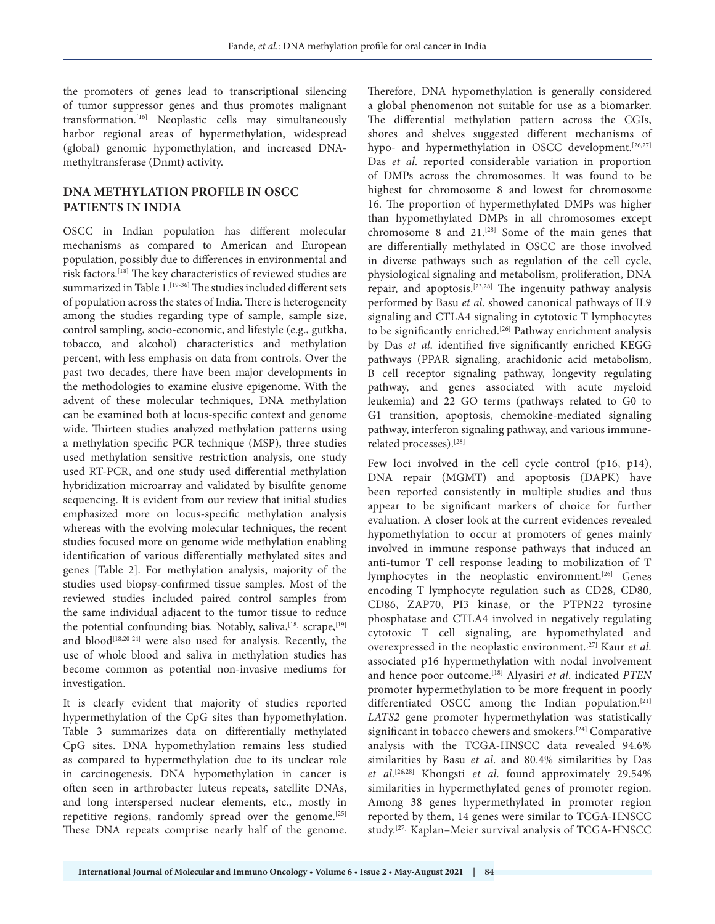the promoters of genes lead to transcriptional silencing of tumor suppressor genes and thus promotes malignant transformation.[16] Neoplastic cells may simultaneously harbor regional areas of hypermethylation, widespread (global) genomic hypomethylation, and increased DNAmethyltransferase (Dnmt) activity.

# **DNA METHYLATION PROFILE IN OSCC PATIENTS IN INDIA**

OSCC in Indian population has different molecular mechanisms as compared to American and European population, possibly due to differences in environmental and risk factors.[18] The key characteristics of reviewed studies are summarized in Table 1. [19-36] The studies included different sets of population across the states of India. There is heterogeneity among the studies regarding type of sample, sample size, control sampling, socio-economic, and lifestyle (e.g., gutkha, tobacco, and alcohol) characteristics and methylation percent, with less emphasis on data from controls. Over the past two decades, there have been major developments in the methodologies to examine elusive epigenome. With the advent of these molecular techniques, DNA methylation can be examined both at locus-specific context and genome wide. Thirteen studies analyzed methylation patterns using a methylation specific PCR technique (MSP), three studies used methylation sensitive restriction analysis, one study used RT-PCR, and one study used differential methylation hybridization microarray and validated by bisulfite genome sequencing. It is evident from our review that initial studies emphasized more on locus-specific methylation analysis whereas with the evolving molecular techniques, the recent studies focused more on genome wide methylation enabling identification of various differentially methylated sites and genes [Table 2]. For methylation analysis, majority of the studies used biopsy-confirmed tissue samples. Most of the reviewed studies included paired control samples from the same individual adjacent to the tumor tissue to reduce the potential confounding bias. Notably, saliva, [18] scrape, [19] and blood<sup>[18,20-24]</sup> were also used for analysis. Recently, the use of whole blood and saliva in methylation studies has become common as potential non-invasive mediums for investigation.

It is clearly evident that majority of studies reported hypermethylation of the CpG sites than hypomethylation. Table 3 summarizes data on differentially methylated CpG sites. DNA hypomethylation remains less studied as compared to hypermethylation due to its unclear role in carcinogenesis. DNA hypomethylation in cancer is often seen in arthrobacter luteus repeats, satellite DNAs, and long interspersed nuclear elements, etc., mostly in repetitive regions, randomly spread over the genome.  $[25]$ These DNA repeats comprise nearly half of the genome.

Therefore, DNA hypomethylation is generally considered a global phenomenon not suitable for use as a biomarker. The differential methylation pattern across the CGIs, shores and shelves suggested different mechanisms of hypo- and hypermethylation in OSCC development.<sup>[26,27]</sup> Das *et al*. reported considerable variation in proportion of DMPs across the chromosomes. It was found to be highest for chromosome 8 and lowest for chromosome 16. The proportion of hypermethylated DMPs was higher than hypomethylated DMPs in all chromosomes except chromosome 8 and  $21$ .<sup>[28]</sup> Some of the main genes that are differentially methylated in OSCC are those involved in diverse pathways such as regulation of the cell cycle, physiological signaling and metabolism, proliferation, DNA repair, and apoptosis.[23,28] The ingenuity pathway analysis performed by Basu *et al*. showed canonical pathways of IL9 signaling and CTLA4 signaling in cytotoxic T lymphocytes to be significantly enriched.<sup>[26]</sup> Pathway enrichment analysis by Das *et al*. identified five significantly enriched KEGG pathways (PPAR signaling, arachidonic acid metabolism, B cell receptor signaling pathway, longevity regulating pathway, and genes associated with acute myeloid leukemia) and 22 GO terms (pathways related to G0 to G1 transition, apoptosis, chemokine-mediated signaling pathway, interferon signaling pathway, and various immunerelated processes).[28]

Few loci involved in the cell cycle control (p16, p14), DNA repair (MGMT) and apoptosis (DAPK) have been reported consistently in multiple studies and thus appear to be significant markers of choice for further evaluation. A closer look at the current evidences revealed hypomethylation to occur at promoters of genes mainly involved in immune response pathways that induced an anti-tumor T cell response leading to mobilization of T lymphocytes in the neoplastic environment.<sup>[26]</sup> Genes encoding T lymphocyte regulation such as CD28, CD80, CD86, ZAP70, PI3 kinase, or the PTPN22 tyrosine phosphatase and CTLA4 involved in negatively regulating cytotoxic T cell signaling, are hypomethylated and overexpressed in the neoplastic environment.[27] Kaur *et al*. associated p16 hypermethylation with nodal involvement and hence poor outcome.[18] Alyasiri *et al*. indicated *PTEN*  promoter hypermethylation to be more frequent in poorly differentiated OSCC among the Indian population.[21] *LATS2* gene promoter hypermethylation was statistically significant in tobacco chewers and smokers.<sup>[24]</sup> Comparative analysis with the TCGA-HNSCC data revealed 94.6% similarities by Basu *et al*. and 80.4% similarities by Das *et al*. [26,28] Khongsti *et al*. found approximately 29.54% similarities in hypermethylated genes of promoter region. Among 38 genes hypermethylated in promoter region reported by them, 14 genes were similar to TCGA-HNSCC study.[27] Kaplan–Meier survival analysis of TCGA-HNSCC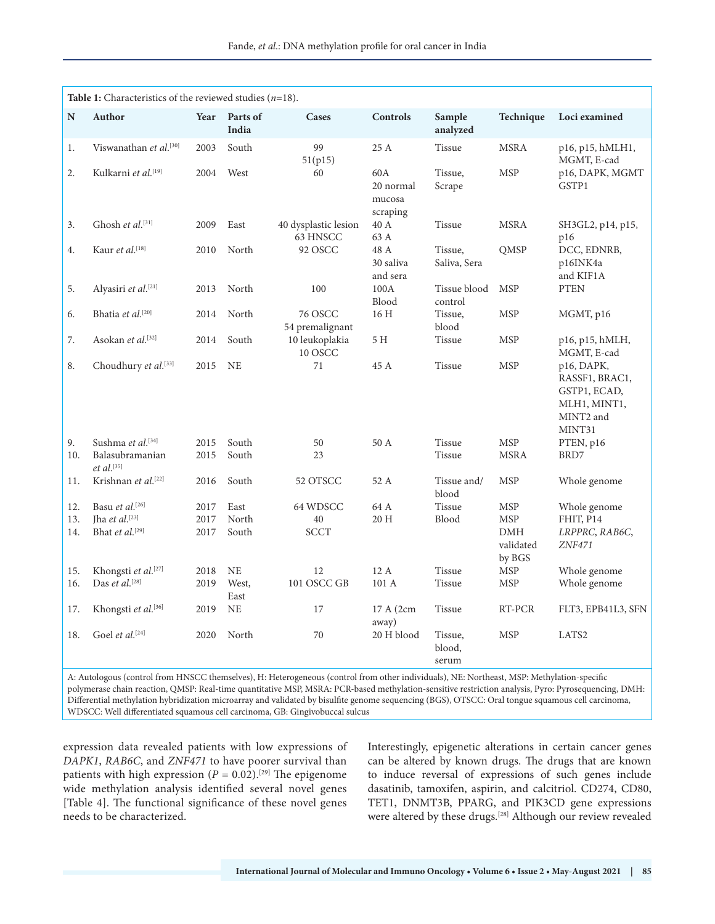|           | Table 1: Characteristics of the reviewed studies $(n=18)$ .                                                                                 |      |                   |                                   |                                        |                            |                                   |                                                                                     |
|-----------|---------------------------------------------------------------------------------------------------------------------------------------------|------|-------------------|-----------------------------------|----------------------------------------|----------------------------|-----------------------------------|-------------------------------------------------------------------------------------|
| ${\bf N}$ | Author                                                                                                                                      | Year | Parts of<br>India | Cases                             | Controls                               | Sample<br>analyzed         | Technique                         | Loci examined                                                                       |
| 1.        | Viswanathan et al. <sup>[30]</sup>                                                                                                          | 2003 | South             | 99<br>51(p15)                     | 25 A                                   | Tissue                     | <b>MSRA</b>                       | p16, p15, hMLH1,<br>MGMT, E-cad                                                     |
| 2.        | Kulkarni et al. <sup>[19]</sup>                                                                                                             | 2004 | West              | 60                                | 60A<br>20 normal<br>mucosa<br>scraping | Tissue,<br>Scrape          | <b>MSP</b>                        | p16, DAPK, MGMT<br>GSTP1                                                            |
| 3.        | Ghosh et al.[31]                                                                                                                            | 2009 | East              | 40 dysplastic lesion<br>63 HNSCC  | 40 A<br>63 A                           | Tissue                     | <b>MSRA</b>                       | SH3GL2, p14, p15,<br>p16                                                            |
| 4.        | Kaur et al. $[18]$                                                                                                                          | 2010 | North             | 92 OSCC                           | 48 A<br>30 saliva<br>and sera          | Tissue,<br>Saliva, Sera    | QMSP                              | DCC, EDNRB,<br>p16INK4a<br>and KIF1A                                                |
| 5.        | Alyasiri et al.[21]                                                                                                                         | 2013 | North             | 100                               | 100A<br>Blood                          | Tissue blood<br>control    | <b>MSP</b>                        | <b>PTEN</b>                                                                         |
| 6.        | Bhatia et al.[20]                                                                                                                           | 2014 | North             | <b>76 OSCC</b><br>54 premalignant | 16 H                                   | Tissue,<br>blood           | <b>MSP</b>                        | MGMT, p16                                                                           |
| 7.        | Asokan et al. <sup>[32]</sup>                                                                                                               | 2014 | South             | 10 leukoplakia<br>10 OSCC         | 5 H                                    | Tissue                     | <b>MSP</b>                        | p16, p15, hMLH,<br>MGMT, E-cad                                                      |
| 8.        | Choudhury et al.[33]                                                                                                                        | 2015 | <b>NE</b>         | 71                                | 45 A                                   | <b>Tissue</b>              | <b>MSP</b>                        | p16, DAPK,<br>RASSF1, BRAC1,<br>GSTP1, ECAD,<br>MLH1, MINT1,<br>MINT2 and<br>MINT31 |
| 9.        | Sushma et al. <sup>[34]</sup>                                                                                                               | 2015 | South             | 50                                | 50 A                                   | <b>Tissue</b>              | <b>MSP</b>                        | PTEN, p16                                                                           |
| 10.       | Balasubramanian<br>$et$ al. <sup>[35]</sup>                                                                                                 | 2015 | South             | 23                                |                                        | <b>Tissue</b>              | <b>MSRA</b>                       | BRD7                                                                                |
| 11.       | Krishnan et al. <sup>[22]</sup>                                                                                                             | 2016 | South             | 52 OTSCC                          | 52 A                                   | Tissue and/<br>blood       | <b>MSP</b>                        | Whole genome                                                                        |
| 12.       | Basu et al. $[26]$                                                                                                                          | 2017 | East              | 64 WDSCC                          | 64 A                                   | <b>Tissue</b>              | <b>MSP</b>                        | Whole genome                                                                        |
| 13.       | Jha et al.[23]                                                                                                                              | 2017 | North             | 40                                | 20 H                                   | Blood                      | <b>MSP</b>                        | FHIT, P14                                                                           |
| 14.       | Bhat et al. <sup>[29]</sup>                                                                                                                 | 2017 | South             | <b>SCCT</b>                       |                                        |                            | <b>DMH</b><br>validated<br>by BGS | LRPPRC, RAB6C,<br>ZNF471                                                            |
| 15.       | Khongsti et al. <sup>[27]</sup>                                                                                                             | 2018 | <b>NE</b>         | 12                                | 12A                                    | Tissue                     | <b>MSP</b>                        | Whole genome                                                                        |
| 16.       | Das et al.[28]                                                                                                                              | 2019 | West,<br>East     | 101 OSCC GB                       | 101 A                                  | Tissue                     | <b>MSP</b>                        | Whole genome                                                                        |
| 17.       | Khongsti et al.[36]                                                                                                                         | 2019 | <b>NE</b>         | 17                                | 17 A (2cm)<br>away)                    | <b>Tissue</b>              | RT-PCR                            | FLT3, EPB41L3, SFN                                                                  |
| 18.       | Goel et al.[24]                                                                                                                             | 2020 | North             | 70                                | 20 H blood                             | Tissue,<br>blood,<br>serum | <b>MSP</b>                        | LATS <sub>2</sub>                                                                   |
|           | A. Autologous (control from HMCCC thomselves), H. Hotomography (control from other in dividuals), ME. Montheast, MCD, Methylation, angelfa, |      |                   |                                   |                                        |                            |                                   |                                                                                     |

A: Autologous (control from HNSCC themselves), H: Heterogeneous (control from other individuals), NE: Northeast, MSP: Methylation-specific polymerase chain reaction, QMSP: Real-time quantitative MSP, MSRA: PCR-based methylation-sensitive restriction analysis, Pyro: Pyrosequencing, DMH: Differential methylation hybridization microarray and validated by bisulfite genome sequencing (BGS), OTSCC: Oral tongue squamous cell carcinoma, WDSCC: Well differentiated squamous cell carcinoma, GB: Gingivobuccal sulcus

expression data revealed patients with low expressions of *DAPK1*, *RAB6C*, and *ZNF471* to have poorer survival than patients with high expression ( $P = 0.02$ ).<sup>[29]</sup> The epigenome wide methylation analysis identified several novel genes [Table 4]. The functional significance of these novel genes needs to be characterized.

Interestingly, epigenetic alterations in certain cancer genes can be altered by known drugs. The drugs that are known to induce reversal of expressions of such genes include dasatinib, tamoxifen, aspirin, and calcitriol. CD274, CD80, TET1, DNMT3B, PPARG, and PIK3CD gene expressions were altered by these drugs.<sup>[28]</sup> Although our review revealed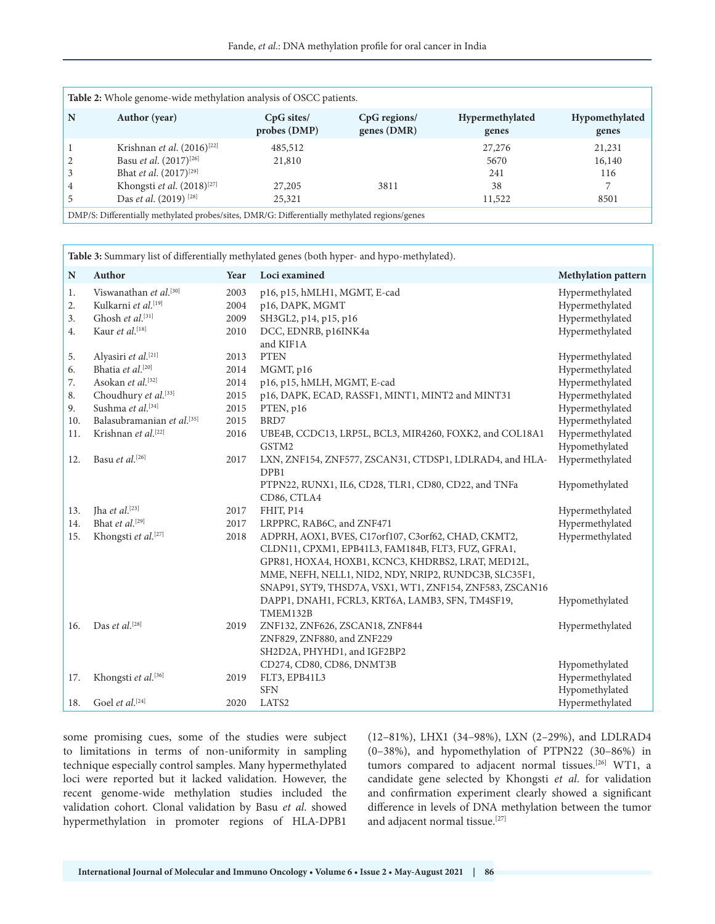|   | <b>Table 2:</b> Whole genome-wide methylation analysis of OSCC patients.                      |                              |                             |                          |                         |
|---|-----------------------------------------------------------------------------------------------|------------------------------|-----------------------------|--------------------------|-------------------------|
| N | Author (year)                                                                                 | $CpG$ sites/<br>probes (DMP) | CpG regions/<br>genes (DMR) | Hypermethylated<br>genes | Hypomethylated<br>genes |
|   | Krishnan et al. $(2016)^{[22]}$                                                               | 485,512                      |                             | 27,276                   | 21,231                  |
|   | Basu <i>et al.</i> $(2017)^{[26]}$                                                            | 21,810                       |                             | 5670                     | 16,140                  |
|   | Bhat <i>et al.</i> $(2017)^{[29]}$                                                            |                              |                             | 241                      | 116                     |
| 4 | Khongsti et al. $(2018)^{[27]}$                                                               | 27,205                       | 3811                        | 38                       |                         |
|   | Das <i>et al.</i> (2019) <sup>[28]</sup>                                                      | 25,321                       |                             | 11,522                   | 8501                    |
|   | DMP/S: Differentially methylated probes/sites, DMR/G: Differentially methylated regions/genes |                              |                             |                          |                         |

|             | Table 3: Summary list of differentially methylated genes (both hyper- and hypo-methylated). |              |                                                          |                                    |  |
|-------------|---------------------------------------------------------------------------------------------|--------------|----------------------------------------------------------|------------------------------------|--|
| $\mathbf N$ | Author                                                                                      | Year         | Loci examined                                            | Methylation pattern                |  |
| 1.<br>2.    | Viswanathan et al. <sup>[30]</sup><br>Kulkarni et al.[19]                                   | 2003<br>2004 | p16, p15, hMLH1, MGMT, E-cad                             | Hypermethylated<br>Hypermethylated |  |
| 3.          | Ghosh et al.[31]                                                                            | 2009         | p16, DAPK, MGMT<br>SH3GL2, p14, p15, p16                 | Hypermethylated                    |  |
| 4.          | Kaur et al.[18]                                                                             | 2010         | DCC, EDNRB, p16INK4a                                     | Hypermethylated                    |  |
|             |                                                                                             |              | and KIF1A                                                |                                    |  |
| 5.          | Alyasiri et al.[21]                                                                         | 2013         | <b>PTEN</b>                                              | Hypermethylated                    |  |
| 6.          | Bhatia et al.[20]                                                                           | 2014         | MGMT, p16                                                | Hypermethylated                    |  |
| 7.          | Asokan et al.[32]                                                                           | 2014         | p16, p15, hMLH, MGMT, E-cad                              | Hypermethylated                    |  |
| 8.          | Choudhury et al.[33]                                                                        | 2015         | p16, DAPK, ECAD, RASSF1, MINT1, MINT2 and MINT31         | Hypermethylated                    |  |
| 9.          | Sushma et al.[34]                                                                           | 2015         | PTEN, p16                                                | Hypermethylated                    |  |
| 10.         | Balasubramanian et al.[35]                                                                  | 2015         | BRD7                                                     | Hypermethylated                    |  |
| 11.         | Krishnan et al.[22]                                                                         | 2016         | UBE4B, CCDC13, LRP5L, BCL3, MIR4260, FOXK2, and COL18A1  | Hypermethylated                    |  |
|             |                                                                                             |              | GSTM2                                                    | Hypomethylated                     |  |
| 12.         | Basu et al. $[26]$                                                                          | 2017         | LXN, ZNF154, ZNF577, ZSCAN31, CTDSP1, LDLRAD4, and HLA-  | Hypermethylated                    |  |
|             |                                                                                             |              | DPB1                                                     |                                    |  |
|             |                                                                                             |              | PTPN22, RUNX1, IL6, CD28, TLR1, CD80, CD22, and TNFa     | Hypomethylated                     |  |
|             |                                                                                             |              | CD86, CTLA4                                              |                                    |  |
| 13.         | Jha et al. $[23]$                                                                           | 2017         | FHIT, P14                                                | Hypermethylated                    |  |
| 14.         | Bhat et al.[29]                                                                             | 2017         | LRPPRC, RAB6C, and ZNF471                                | Hypermethylated                    |  |
| 15.         | Khongsti et al.[27]                                                                         | 2018         | ADPRH, AOX1, BVES, C17orf107, C3orf62, CHAD, CKMT2,      | Hypermethylated                    |  |
|             |                                                                                             |              | CLDN11, CPXM1, EPB41L3, FAM184B, FLT3, FUZ, GFRA1,       |                                    |  |
|             |                                                                                             |              | GPR81, HOXA4, HOXB1, KCNC3, KHDRBS2, LRAT, MED12L,       |                                    |  |
|             |                                                                                             |              | MME, NEFH, NELL1, NID2, NDY, NRIP2, RUNDC3B, SLC35F1,    |                                    |  |
|             |                                                                                             |              | SNAP91, SYT9, THSD7A, VSX1, WT1, ZNF154, ZNF583, ZSCAN16 |                                    |  |
|             |                                                                                             |              | DAPP1, DNAH1, FCRL3, KRT6A, LAMB3, SFN, TM4SF19,         | Hypomethylated                     |  |
|             |                                                                                             |              | TMEM132B                                                 |                                    |  |
| 16.         | Das et al. $^{[28]}$                                                                        | 2019         | ZNF132, ZNF626, ZSCAN18, ZNF844                          | Hypermethylated                    |  |
|             |                                                                                             |              | ZNF829, ZNF880, and ZNF229                               |                                    |  |
|             |                                                                                             |              | SH2D2A, PHYHD1, and IGF2BP2                              |                                    |  |
|             |                                                                                             |              | CD274, CD80, CD86, DNMT3B                                | Hypomethylated                     |  |
| 17.         | Khongsti et al.[36]                                                                         | 2019         | FLT3, EPB41L3                                            | Hypermethylated                    |  |
|             |                                                                                             |              | <b>SFN</b>                                               | Hypomethylated                     |  |
| 18.         | Goel et al. $[24]$                                                                          | 2020         | LATS2                                                    | Hypermethylated                    |  |

some promising cues, some of the studies were subject to limitations in terms of non-uniformity in sampling technique especially control samples. Many hypermethylated loci were reported but it lacked validation. However, the recent genome-wide methylation studies included the validation cohort. Clonal validation by Basu *et al*. showed hypermethylation in promoter regions of HLA-DPB1 (12–81%), LHX1 (34–98%), LXN (2–29%), and LDLRAD4 (0–38%), and hypomethylation of PTPN22 (30–86%) in tumors compared to adjacent normal tissues.<sup>[26]</sup> WT1, a candidate gene selected by Khongsti *et al*. for validation and confirmation experiment clearly showed a significant difference in levels of DNA methylation between the tumor and adjacent normal tissue.<sup>[27]</sup>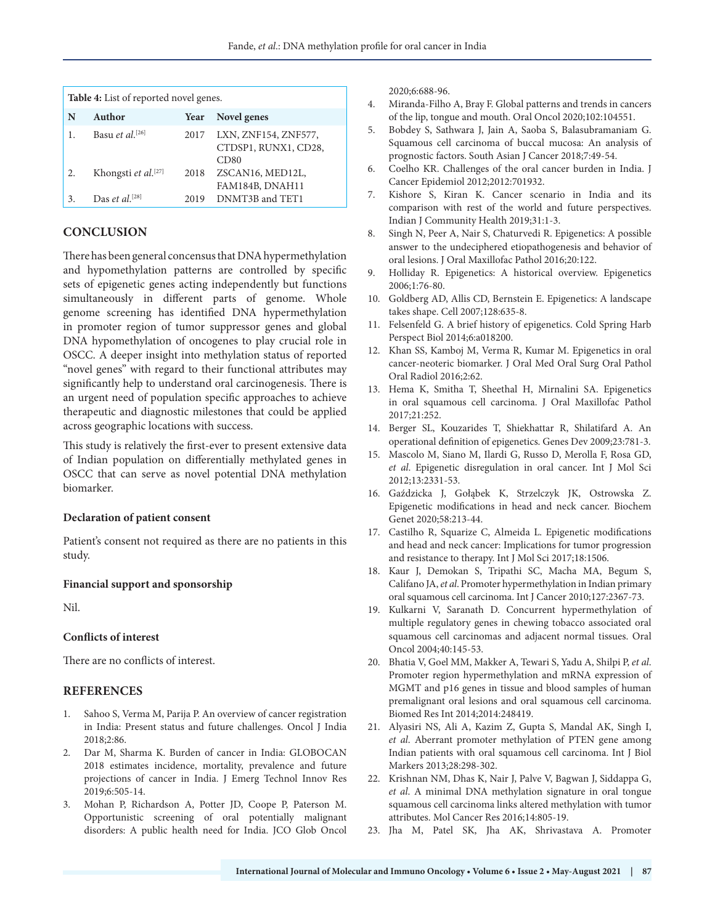|    | <b>Table 4:</b> List of reported novel genes. |      |                                                      |
|----|-----------------------------------------------|------|------------------------------------------------------|
| N  | Author                                        | Year | Novel genes                                          |
|    | Basu et al. <sup>[26]</sup>                   | 2017 | LXN, ZNF154, ZNF577,<br>CTDSP1, RUNX1, CD28,<br>CD80 |
| 2. | Khongsti et al. <sup>[27]</sup>               | 2018 | ZSCAN16, MED12L,<br>FAM184B, DNAH11                  |
| 3. | Das et al. <sup>[28]</sup>                    | 2019 | DNMT3B and TET1                                      |

## **CONCLUSION**

There has been general concensus that DNA hypermethylation and hypomethylation patterns are controlled by specific sets of epigenetic genes acting independently but functions simultaneously in different parts of genome. Whole genome screening has identified DNA hypermethylation in promoter region of tumor suppressor genes and global DNA hypomethylation of oncogenes to play crucial role in OSCC. A deeper insight into methylation status of reported "novel genes" with regard to their functional attributes may significantly help to understand oral carcinogenesis. There is an urgent need of population specific approaches to achieve therapeutic and diagnostic milestones that could be applied across geographic locations with success.

This study is relatively the first-ever to present extensive data of Indian population on differentially methylated genes in OSCC that can serve as novel potential DNA methylation biomarker.

#### **Declaration of patient consent**

Patient's consent not required as there are no patients in this study.

#### **Financial support and sponsorship**

Nil.

#### **Conflicts of interest**

There are no conflicts of interest.

#### **REFERENCES**

- Sahoo S, Verma M, Parija P. An overview of cancer registration in India: Present status and future challenges. Oncol J India 2018;2:86.
- 2. Dar M, Sharma K. Burden of cancer in India: GLOBOCAN 2018 estimates incidence, mortality, prevalence and future projections of cancer in India. J Emerg Technol Innov Res 2019;6:505-14.
- 3. Mohan P, Richardson A, Potter JD, Coope P, Paterson M. Opportunistic screening of oral potentially malignant disorders: A public health need for India. JCO Glob Oncol

2020;6:688-96.

- 4. Miranda-Filho A, Bray F. Global patterns and trends in cancers of the lip, tongue and mouth. Oral Oncol 2020;102:104551.
- 5. Bobdey S, Sathwara J, Jain A, Saoba S, Balasubramaniam G. Squamous cell carcinoma of buccal mucosa: An analysis of prognostic factors. South Asian J Cancer 2018;7:49-54.
- 6. Coelho KR. Challenges of the oral cancer burden in India. J Cancer Epidemiol 2012;2012:701932.
- 7. Kishore S, Kiran K. Cancer scenario in India and its comparison with rest of the world and future perspectives. Indian J Community Health 2019;31:1-3.
- 8. Singh N, Peer A, Nair S, Chaturvedi R. Epigenetics: A possible answer to the undeciphered etiopathogenesis and behavior of oral lesions. J Oral Maxillofac Pathol 2016;20:122.
- 9. Holliday R. Epigenetics: A historical overview. Epigenetics 2006;1:76-80.
- 10. Goldberg AD, Allis CD, Bernstein E. Epigenetics: A landscape takes shape. Cell 2007;128:635-8.
- 11. Felsenfeld G. A brief history of epigenetics. Cold Spring Harb Perspect Biol 2014;6:a018200.
- 12. Khan SS, Kamboj M, Verma R, Kumar M. Epigenetics in oral cancer-neoteric biomarker. J Oral Med Oral Surg Oral Pathol Oral Radiol 2016;2:62.
- 13. Hema K, Smitha T, Sheethal H, Mirnalini SA. Epigenetics in oral squamous cell carcinoma. J Oral Maxillofac Pathol 2017;21:252.
- 14. Berger SL, Kouzarides T, Shiekhattar R, Shilatifard A. An operational definition of epigenetics. Genes Dev 2009;23:781-3.
- 15. Mascolo M, Siano M, Ilardi G, Russo D, Merolla F, Rosa GD, *et al*. Epigenetic disregulation in oral cancer. Int J Mol Sci 2012;13:2331-53.
- 16. Gaździcka J, Gołąbek K, Strzelczyk JK, Ostrowska Z. Epigenetic modifications in head and neck cancer. Biochem Genet 2020;58:213-44.
- 17. Castilho R, Squarize C, Almeida L. Epigenetic modifications and head and neck cancer: Implications for tumor progression and resistance to therapy. Int J Mol Sci 2017;18:1506.
- 18. Kaur J, Demokan S, Tripathi SC, Macha MA, Begum S, Califano JA, *et al*. Promoter hypermethylation in Indian primary oral squamous cell carcinoma. Int J Cancer 2010;127:2367-73.
- 19. Kulkarni V, Saranath D. Concurrent hypermethylation of multiple regulatory genes in chewing tobacco associated oral squamous cell carcinomas and adjacent normal tissues. Oral Oncol 2004;40:145-53.
- 20. Bhatia V, Goel MM, Makker A, Tewari S, Yadu A, Shilpi P, *et al*. Promoter region hypermethylation and mRNA expression of MGMT and p16 genes in tissue and blood samples of human premalignant oral lesions and oral squamous cell carcinoma. Biomed Res Int 2014;2014:248419.
- 21. Alyasiri NS, Ali A, Kazim Z, Gupta S, Mandal AK, Singh I, *et al*. Aberrant promoter methylation of PTEN gene among Indian patients with oral squamous cell carcinoma. Int J Biol Markers 2013;28:298-302.
- 22. Krishnan NM, Dhas K, Nair J, Palve V, Bagwan J, Siddappa G, *et al*. A minimal DNA methylation signature in oral tongue squamous cell carcinoma links altered methylation with tumor attributes. Mol Cancer Res 2016;14:805-19.
- 23. Jha M, Patel SK, Jha AK, Shrivastava A. Promoter